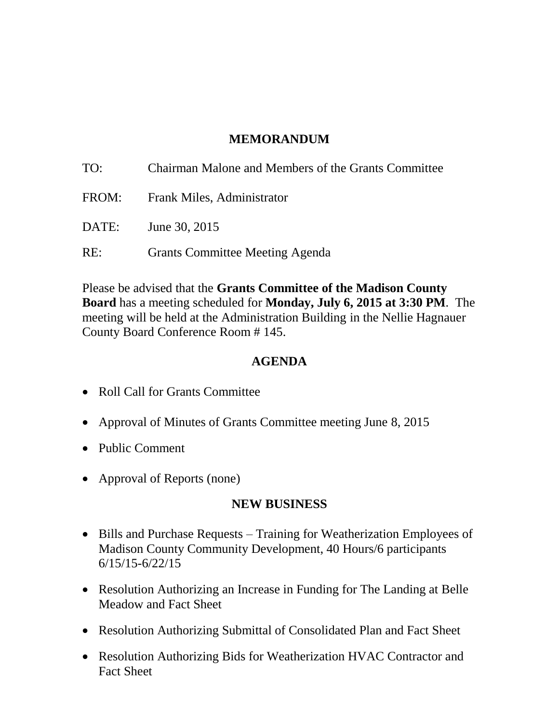# **MEMORANDUM**

| TO:   | Chairman Malone and Members of the Grants Committee |
|-------|-----------------------------------------------------|
| FROM: | <b>Frank Miles, Administrator</b>                   |
| DATE: | June 30, 2015                                       |
| RE:   | <b>Grants Committee Meeting Agenda</b>              |

Please be advised that the **Grants Committee of the Madison County Board** has a meeting scheduled for **Monday, July 6, 2015 at 3:30 PM**. The meeting will be held at the Administration Building in the Nellie Hagnauer County Board Conference Room # 145.

### **AGENDA**

- Roll Call for Grants Committee
- Approval of Minutes of Grants Committee meeting June 8, 2015
- Public Comment
- Approval of Reports (none)

### **NEW BUSINESS**

- Bills and Purchase Requests Training for Weatherization Employees of Madison County Community Development, 40 Hours/6 participants 6/15/15-6/22/15
- Resolution Authorizing an Increase in Funding for The Landing at Belle Meadow and Fact Sheet
- Resolution Authorizing Submittal of Consolidated Plan and Fact Sheet
- Resolution Authorizing Bids for Weatherization HVAC Contractor and Fact Sheet